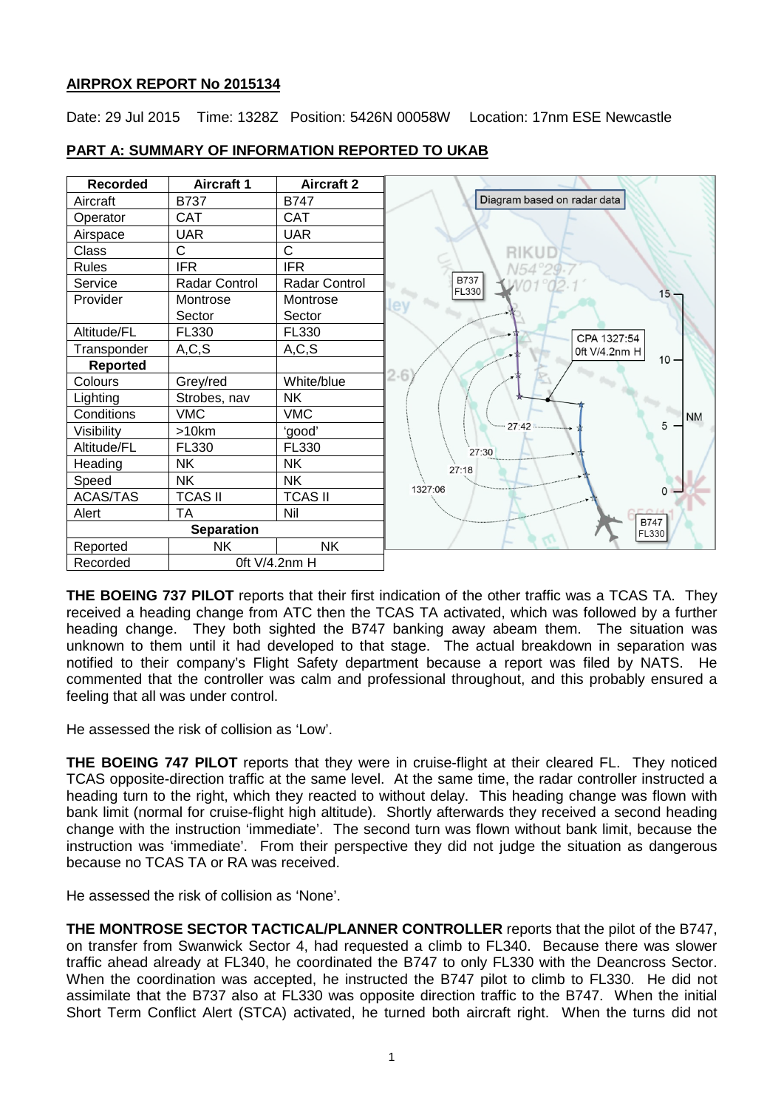# **AIRPROX REPORT No 2015134**

Date: 29 Jul 2015 Time: 1328Z Position: 5426N 00058W Location: 17nm ESE Newcastle



# **PART A: SUMMARY OF INFORMATION REPORTED TO UKAB**

**THE BOEING 737 PILOT** reports that their first indication of the other traffic was a TCAS TA. They received a heading change from ATC then the TCAS TA activated, which was followed by a further heading change. They both sighted the B747 banking away abeam them. The situation was unknown to them until it had developed to that stage. The actual breakdown in separation was notified to their company's Flight Safety department because a report was filed by NATS. He commented that the controller was calm and professional throughout, and this probably ensured a feeling that all was under control.

He assessed the risk of collision as 'Low'.

**THE BOEING 747 PILOT** reports that they were in cruise-flight at their cleared FL. They noticed TCAS opposite-direction traffic at the same level. At the same time, the radar controller instructed a heading turn to the right, which they reacted to without delay. This heading change was flown with bank limit (normal for cruise-flight high altitude). Shortly afterwards they received a second heading change with the instruction 'immediate'. The second turn was flown without bank limit, because the instruction was 'immediate'. From their perspective they did not judge the situation as dangerous because no TCAS TA or RA was received.

He assessed the risk of collision as 'None'.

**THE MONTROSE SECTOR TACTICAL/PLANNER CONTROLLER** reports that the pilot of the B747, on transfer from Swanwick Sector 4, had requested a climb to FL340. Because there was slower traffic ahead already at FL340, he coordinated the B747 to only FL330 with the Deancross Sector. When the coordination was accepted, he instructed the B747 pilot to climb to FL330. He did not assimilate that the B737 also at FL330 was opposite direction traffic to the B747. When the initial Short Term Conflict Alert (STCA) activated, he turned both aircraft right. When the turns did not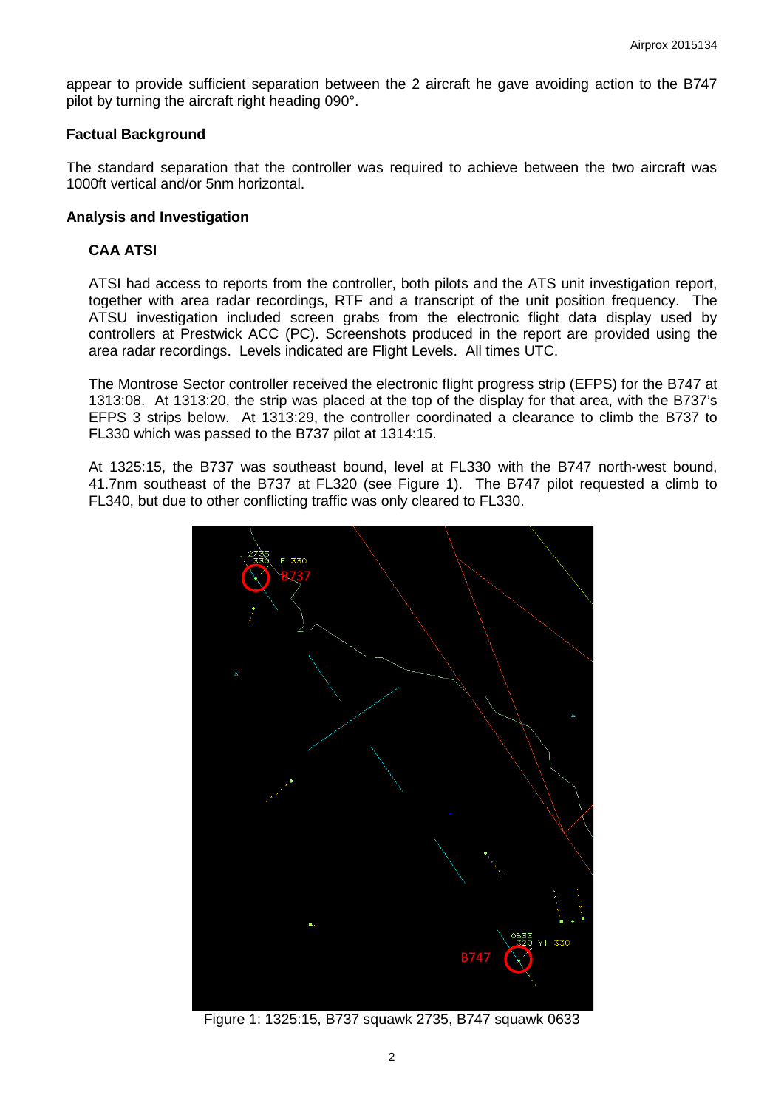appear to provide sufficient separation between the 2 aircraft he gave avoiding action to the B747 pilot by turning the aircraft right heading 090°.

## **Factual Background**

The standard separation that the controller was required to achieve between the two aircraft was 1000ft vertical and/or 5nm horizontal.

#### **Analysis and Investigation**

## **CAA ATSI**

ATSI had access to reports from the controller, both pilots and the ATS unit investigation report, together with area radar recordings, RTF and a transcript of the unit position frequency. The ATSU investigation included screen grabs from the electronic flight data display used by controllers at Prestwick ACC (PC). Screenshots produced in the report are provided using the area radar recordings. Levels indicated are Flight Levels. All times UTC.

The Montrose Sector controller received the electronic flight progress strip (EFPS) for the B747 at 1313:08. At 1313:20, the strip was placed at the top of the display for that area, with the B737's EFPS 3 strips below. At 1313:29, the controller coordinated a clearance to climb the B737 to FL330 which was passed to the B737 pilot at 1314:15.

At 1325:15, the B737 was southeast bound, level at FL330 with the B747 north-west bound, 41.7nm southeast of the B737 at FL320 (see Figure 1). The B747 pilot requested a climb to FL340, but due to other conflicting traffic was only cleared to FL330.



Figure 1: 1325:15, B737 squawk 2735, B747 squawk 0633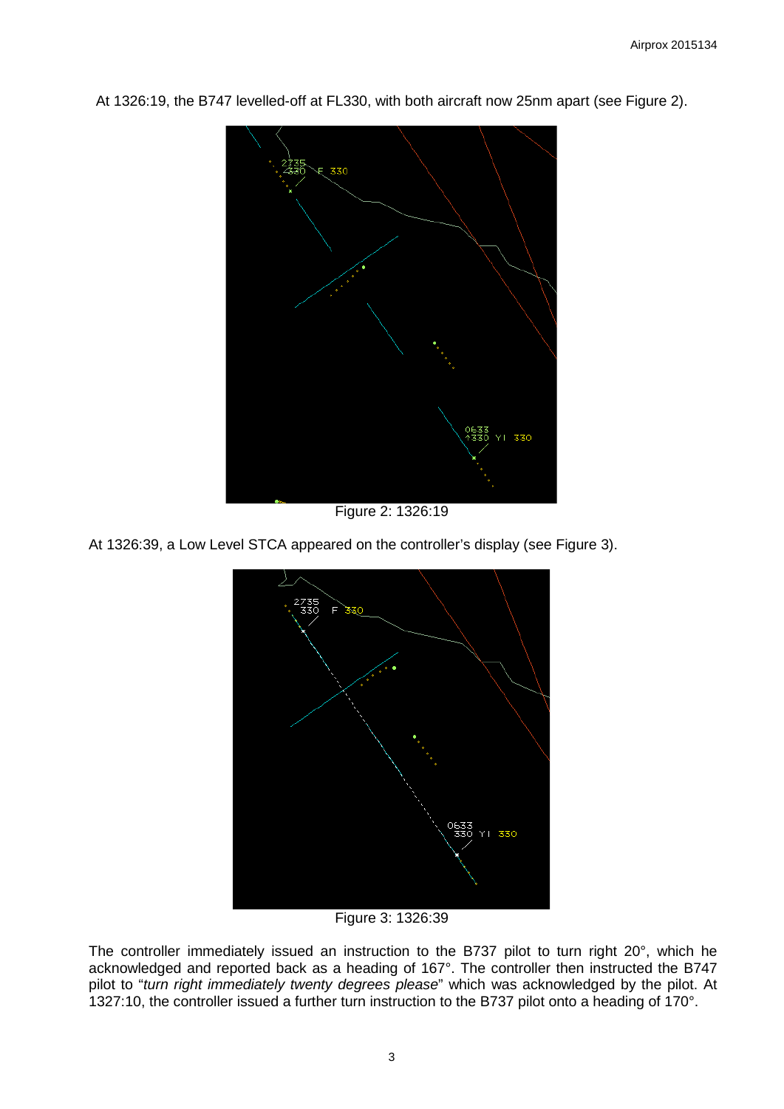

At 1326:19, the B747 levelled-off at FL330, with both aircraft now 25nm apart (see Figure 2).

Figure 2: 1326:19

At 1326:39, a Low Level STCA appeared on the controller's display (see Figure 3).



Figure 3: 1326:39

The controller immediately issued an instruction to the B737 pilot to turn right 20°, which he acknowledged and reported back as a heading of 167°. The controller then instructed the B747 pilot to "*turn right immediately twenty degrees please*" which was acknowledged by the pilot. At 1327:10, the controller issued a further turn instruction to the B737 pilot onto a heading of 170°.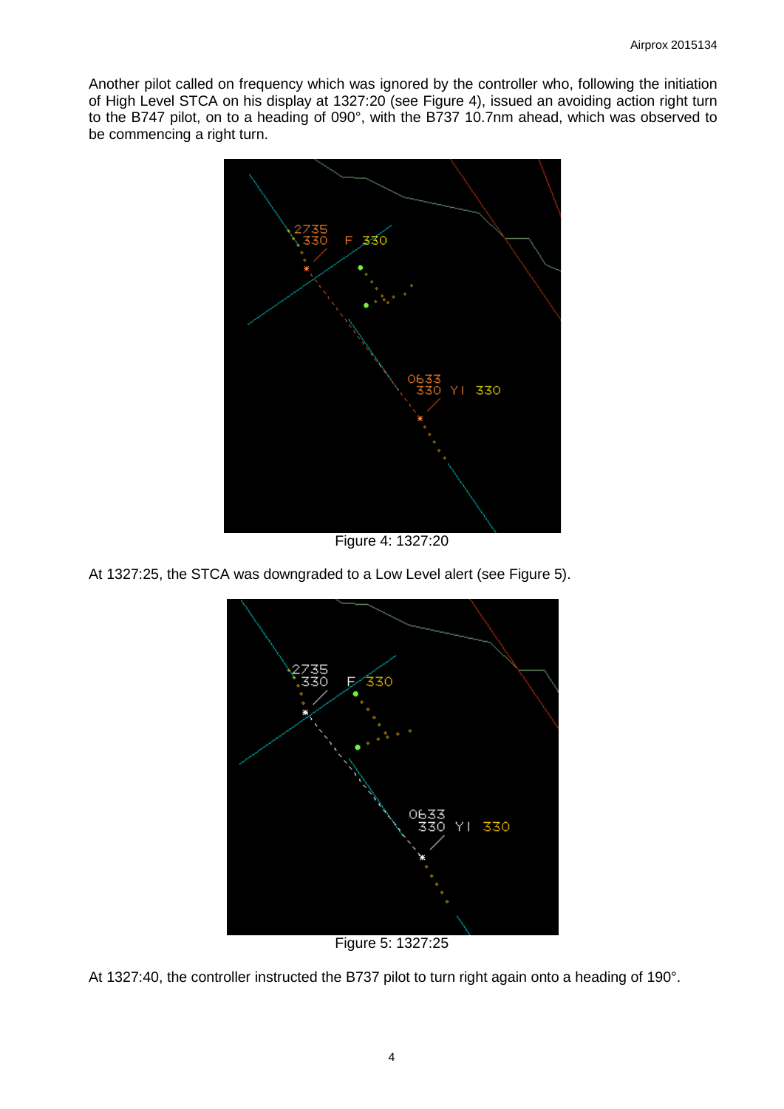Another pilot called on frequency which was ignored by the controller who, following the initiation of High Level STCA on his display at 1327:20 (see Figure 4), issued an avoiding action right turn to the B747 pilot, on to a heading of 090°, with the B737 10.7nm ahead, which was observed to be commencing a right turn.



Figure 4: 1327:20

At 1327:25, the STCA was downgraded to a Low Level alert (see Figure 5).



Figure 5: 1327:25

At 1327:40, the controller instructed the B737 pilot to turn right again onto a heading of 190°.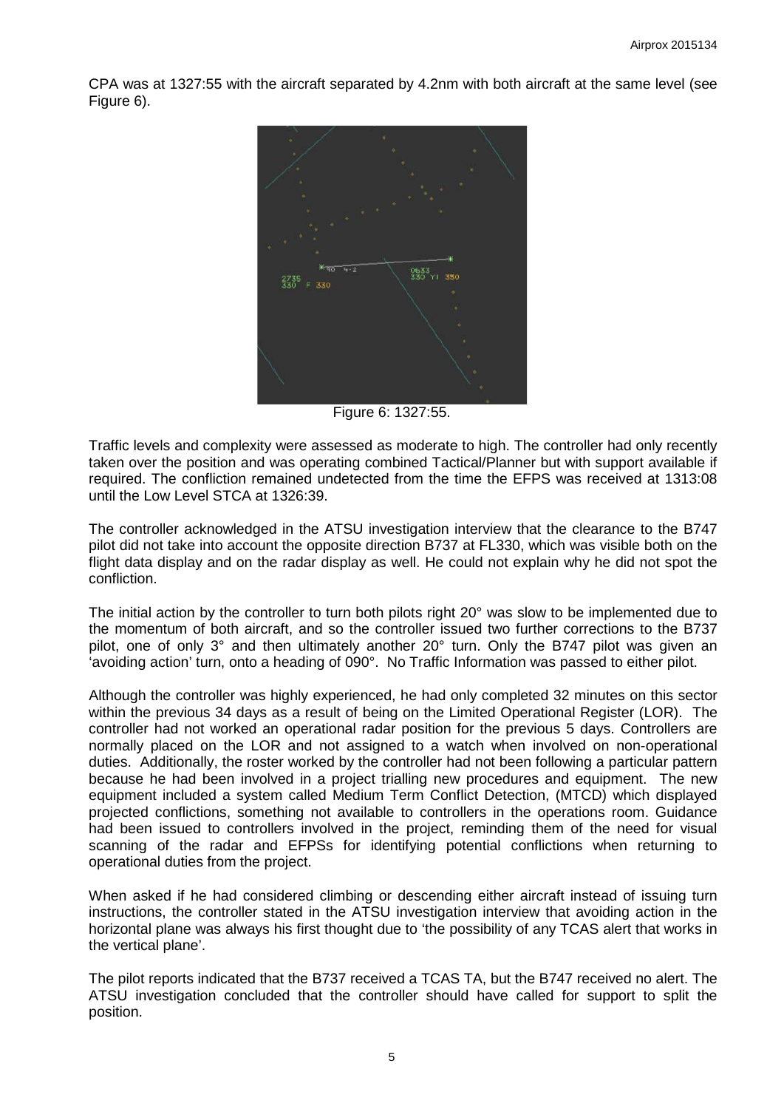CPA was at 1327:55 with the aircraft separated by 4.2nm with both aircraft at the same level (see Figure 6).



Figure 6: 1327:55.

Traffic levels and complexity were assessed as moderate to high. The controller had only recently taken over the position and was operating combined Tactical/Planner but with support available if required. The confliction remained undetected from the time the EFPS was received at 1313:08 until the Low Level STCA at 1326:39.

The controller acknowledged in the ATSU investigation interview that the clearance to the B747 pilot did not take into account the opposite direction B737 at FL330, which was visible both on the flight data display and on the radar display as well. He could not explain why he did not spot the confliction.

The initial action by the controller to turn both pilots right 20° was slow to be implemented due to the momentum of both aircraft, and so the controller issued two further corrections to the B737 pilot, one of only 3° and then ultimately another 20° turn. Only the B747 pilot was given an 'avoiding action' turn, onto a heading of 090°. No Traffic Information was passed to either pilot.

Although the controller was highly experienced, he had only completed 32 minutes on this sector within the previous 34 days as a result of being on the Limited Operational Register (LOR). The controller had not worked an operational radar position for the previous 5 days. Controllers are normally placed on the LOR and not assigned to a watch when involved on non-operational duties. Additionally, the roster worked by the controller had not been following a particular pattern because he had been involved in a project trialling new procedures and equipment. The new equipment included a system called Medium Term Conflict Detection, (MTCD) which displayed projected conflictions, something not available to controllers in the operations room. Guidance had been issued to controllers involved in the project, reminding them of the need for visual scanning of the radar and EFPSs for identifying potential conflictions when returning to operational duties from the project.

When asked if he had considered climbing or descending either aircraft instead of issuing turn instructions, the controller stated in the ATSU investigation interview that avoiding action in the horizontal plane was always his first thought due to 'the possibility of any TCAS alert that works in the vertical plane'.

The pilot reports indicated that the B737 received a TCAS TA, but the B747 received no alert. The ATSU investigation concluded that the controller should have called for support to split the position.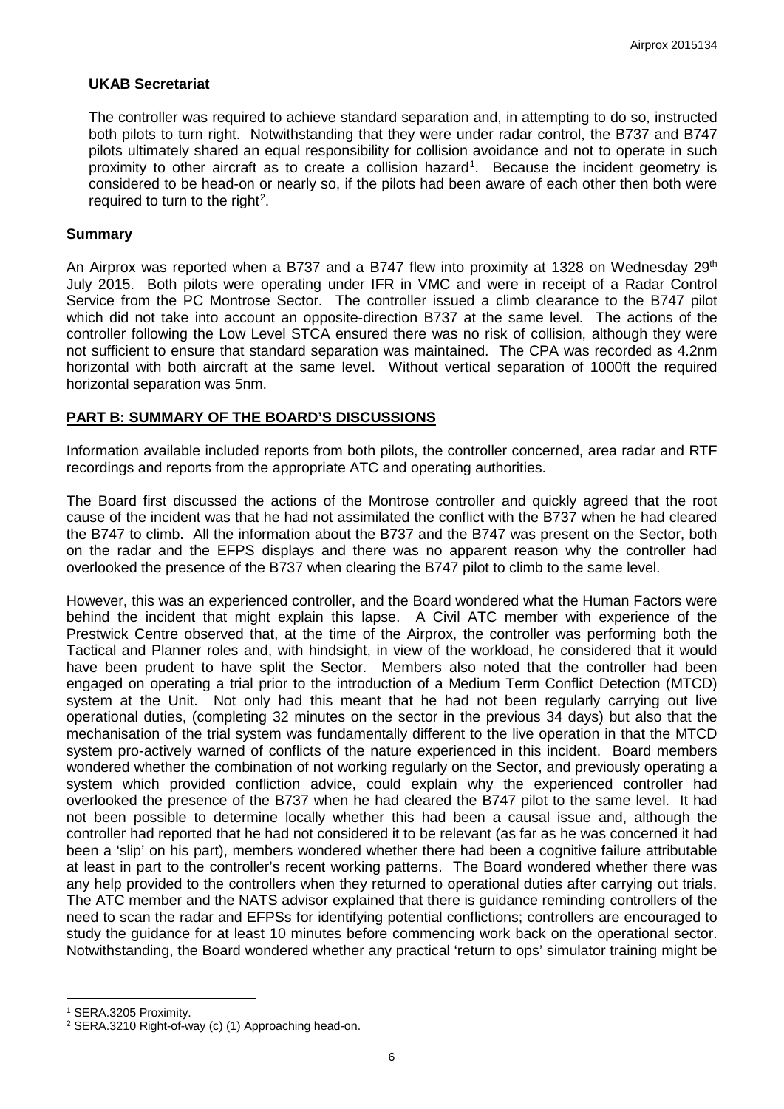## **UKAB Secretariat**

The controller was required to achieve standard separation and, in attempting to do so, instructed both pilots to turn right. Notwithstanding that they were under radar control, the B737 and B747 pilots ultimately shared an equal responsibility for collision avoidance and not to operate in such proximity to other aircraft as to create a collision hazard<sup>[1](#page-5-0)</sup>. Because the incident geometry is considered to be head-on or nearly so, if the pilots had been aware of each other then both were required to turn to the right<sup>[2](#page-5-1)</sup>.

#### **Summary**

An Airprox was reported when a B737 and a B747 flew into proximity at 1328 on Wednesday  $29<sup>th</sup>$ July 2015. Both pilots were operating under IFR in VMC and were in receipt of a Radar Control Service from the PC Montrose Sector. The controller issued a climb clearance to the B747 pilot which did not take into account an opposite-direction B737 at the same level. The actions of the controller following the Low Level STCA ensured there was no risk of collision, although they were not sufficient to ensure that standard separation was maintained. The CPA was recorded as 4.2nm horizontal with both aircraft at the same level. Without vertical separation of 1000ft the required horizontal separation was 5nm.

# **PART B: SUMMARY OF THE BOARD'S DISCUSSIONS**

Information available included reports from both pilots, the controller concerned, area radar and RTF recordings and reports from the appropriate ATC and operating authorities.

The Board first discussed the actions of the Montrose controller and quickly agreed that the root cause of the incident was that he had not assimilated the conflict with the B737 when he had cleared the B747 to climb. All the information about the B737 and the B747 was present on the Sector, both on the radar and the EFPS displays and there was no apparent reason why the controller had overlooked the presence of the B737 when clearing the B747 pilot to climb to the same level.

However, this was an experienced controller, and the Board wondered what the Human Factors were behind the incident that might explain this lapse. A Civil ATC member with experience of the Prestwick Centre observed that, at the time of the Airprox, the controller was performing both the Tactical and Planner roles and, with hindsight, in view of the workload, he considered that it would have been prudent to have split the Sector. Members also noted that the controller had been engaged on operating a trial prior to the introduction of a Medium Term Conflict Detection (MTCD) system at the Unit. Not only had this meant that he had not been regularly carrying out live operational duties, (completing 32 minutes on the sector in the previous 34 days) but also that the mechanisation of the trial system was fundamentally different to the live operation in that the MTCD system pro-actively warned of conflicts of the nature experienced in this incident. Board members wondered whether the combination of not working regularly on the Sector, and previously operating a system which provided confliction advice, could explain why the experienced controller had overlooked the presence of the B737 when he had cleared the B747 pilot to the same level. It had not been possible to determine locally whether this had been a causal issue and, although the controller had reported that he had not considered it to be relevant (as far as he was concerned it had been a 'slip' on his part), members wondered whether there had been a cognitive failure attributable at least in part to the controller's recent working patterns. The Board wondered whether there was any help provided to the controllers when they returned to operational duties after carrying out trials. The ATC member and the NATS advisor explained that there is guidance reminding controllers of the need to scan the radar and EFPSs for identifying potential conflictions; controllers are encouraged to study the guidance for at least 10 minutes before commencing work back on the operational sector. Notwithstanding, the Board wondered whether any practical 'return to ops' simulator training might be

l

<span id="page-5-0"></span><sup>1</sup> SERA.3205 Proximity.

<span id="page-5-1"></span><sup>2</sup> SERA.3210 Right-of-way (c) (1) Approaching head-on.